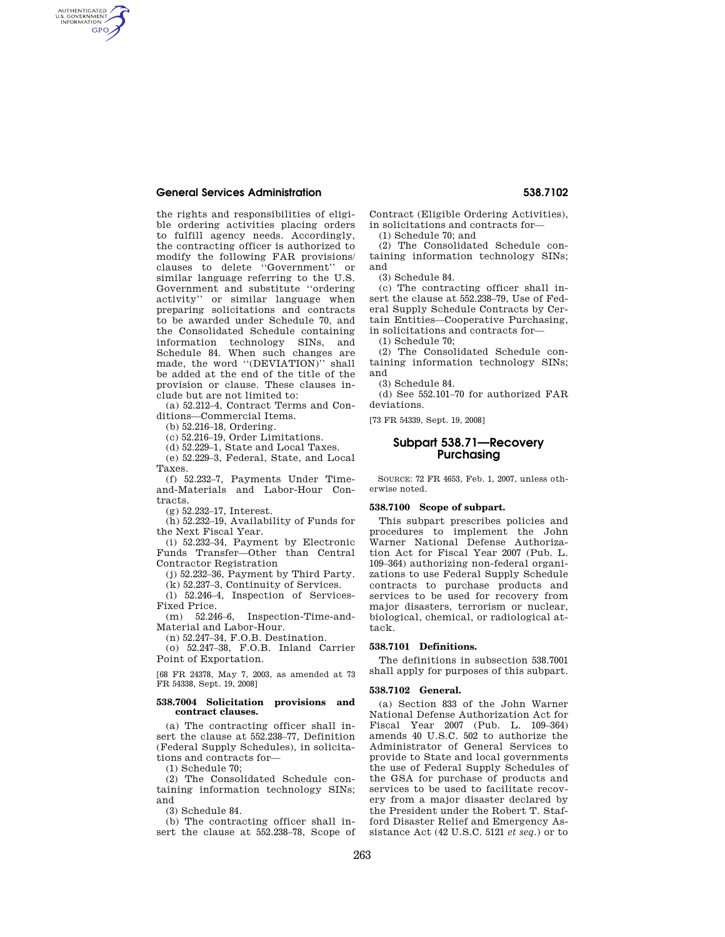# **General Services Administration 538.7102**

AUTHENTICATED<br>U.S. GOVERNMENT<br>INFORMATION **GPO** 

> the rights and responsibilities of eligible ordering activities placing orders to fulfill agency needs. Accordingly, the contracting officer is authorized to modify the following FAR provisions/ clauses to delete ''Government'' or similar language referring to the U.S. Government and substitute ''ordering activity'' or similar language when preparing solicitations and contracts to be awarded under Schedule 70, and the Consolidated Schedule containing information technology SINs, and Schedule 84. When such changes are made, the word "(DEVIATION)" shall be added at the end of the title of the provision or clause. These clauses include but are not limited to:

(a) 52.212–4, Contract Terms and Conditions—Commercial Items.

(b) 52.216–18, Ordering.

(c) 52.216–19, Order Limitations.

(d) 52.229–1, State and Local Taxes.

(e) 52.229–3, Federal, State, and Local Taxes.

(f) 52.232–7, Payments Under Timeand-Materials and Labor-Hour Contracts.

(g) 52.232–17, Interest.

(h) 52.232–19, Availability of Funds for the Next Fiscal Year.

(i) 52.232–34, Payment by Electronic Funds Transfer—Other than Central Contractor Registration

(j) 52.232–36, Payment by Third Party. (k) 52.237–3, Continuity of Services.

(l) 52.246–4, Inspection of Services-Fixed Price.

(m) 52.246–6, Inspection-Time-and-Material and Labor-Hour.

(n) 52.247–34, F.O.B. Destination.

(o) 52.247–38, F.O.B. Inland Carrier Point of Exportation.

[68 FR 24378, May 7, 2003, as amended at 73 FR 54338, Sept. 19, 2008]

## **538.7004 Solicitation provisions and contract clauses.**

(a) The contracting officer shall insert the clause at 552.238–77, Definition (Federal Supply Schedules), in solicitations and contracts for—

(1) Schedule 70;

(2) The Consolidated Schedule containing information technology SINs; and

(3) Schedule 84.

(b) The contracting officer shall insert the clause at 552.238–78, Scope of Contract (Eligible Ordering Activities), in solicitations and contracts for—

(1) Schedule 70; and

(2) The Consolidated Schedule containing information technology SINs; and

(3) Schedule 84.

(c) The contracting officer shall insert the clause at 552.238–79, Use of Federal Supply Schedule Contracts by Certain Entities—Cooperative Purchasing, in solicitations and contracts for—

(1) Schedule 70;

(2) The Consolidated Schedule containing information technology SINs; and

(3) Schedule 84.

(d) See 552.101–70 for authorized FAR deviations.

[73 FR 54339, Sept. 19, 2008]

# **Subpart 538.71—Recovery Purchasing**

SOURCE: 72 FR 4653, Feb. 1, 2007, unless otherwise noted.

# **538.7100 Scope of subpart.**

This subpart prescribes policies and procedures to implement the John Warner National Defense Authorization Act for Fiscal Year 2007 (Pub. L. 109–364) authorizing non-federal organizations to use Federal Supply Schedule contracts to purchase products and services to be used for recovery from major disasters, terrorism or nuclear, biological, chemical, or radiological attack.

## **538.7101 Definitions.**

The definitions in subsection 538.7001 shall apply for purposes of this subpart.

#### **538.7102 General.**

(a) Section 833 of the John Warner National Defense Authorization Act for Fiscal Year 2007 (Pub. L. 109–364) amends 40 U.S.C. 502 to authorize the Administrator of General Services to provide to State and local governments the use of Federal Supply Schedules of the GSA for purchase of products and services to be used to facilitate recovery from a major disaster declared by the President under the Robert T. Stafford Disaster Relief and Emergency Assistance Act (42 U.S.C. 5121 *et seq.*) or to